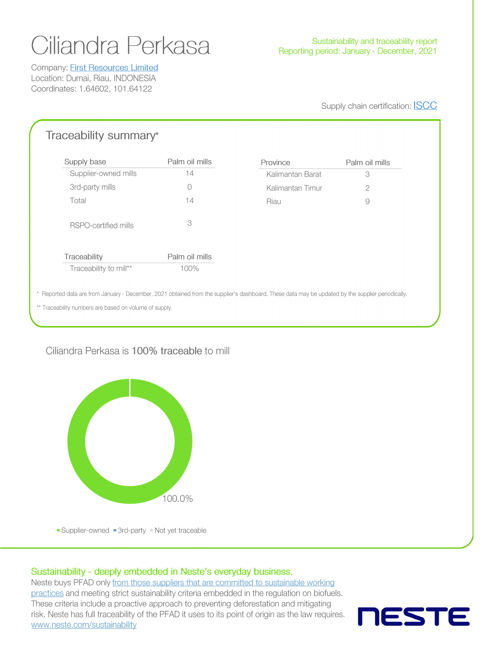# Ciliandra Perkasa

Company: **First Resources Limited** Location: Dumai, Riau, INDONESIA Coordinates: 1.64602, 101.64122

#### Supply chain certification: **ISCC**

Palm oil mills

# Traceability summary\*

| Palm oil mills | Province |
|----------------|----------|
| 14             | Kalimant |
| ∩              | Kalimant |
| 14             | Riau     |
| 3              |          |
| Palm oil mills |          |
| 100%           |          |
|                |          |

| Kalimantan Barat | 13 |
|------------------|----|
| Kalimantan Timur |    |
| Riau             |    |
|                  |    |

\* Reported data are from January - December, 2021 obtained from the supplier's dashboard. These data may be updated by the supplier periodically.

\*\* Traceability numbers are based on volume of supply.

## Ciliandra Perkasa is 100% traceable to mill



Supplier-owned 3rd-party Not yet traceable

#### Sustainability - deeply embedded in Neste's everyday business.

Neste buys PFAD only from those suppliers that are committed to sustainable working practices and meeting strict sustainability criteria embedded in the regulation on biofuels. These criteria include a proactive approach to preventing deforestation and mitigating risk. Neste has full traceability of the PFAD it uses to its point of origin as the law requires. www.neste.com/sustainability